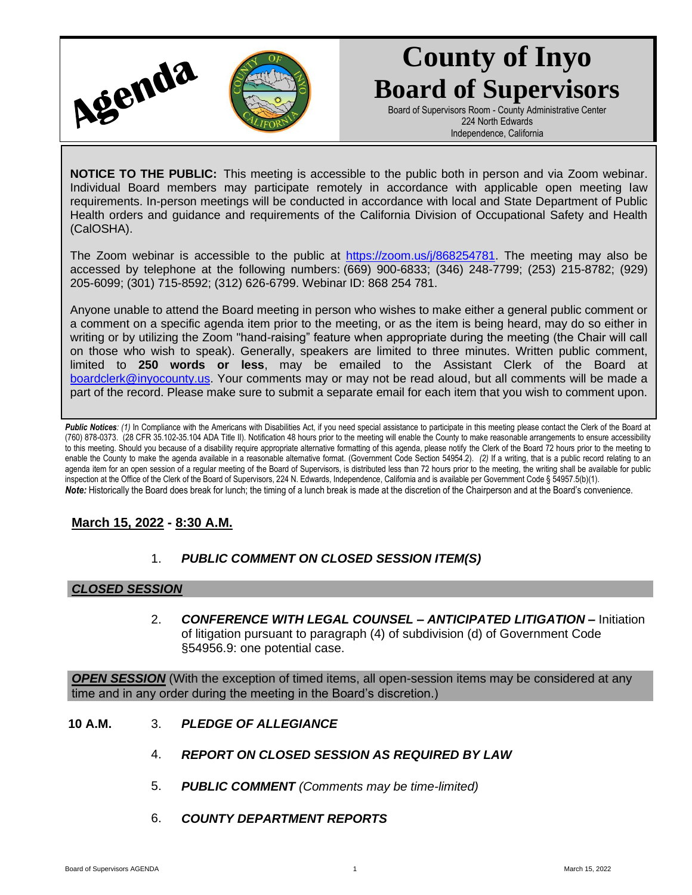

# **County of Inyo Board of Supervisors**

Board of Supervisors Room - County Administrative Center 224 North Edwards Independence, California

**NOTICE TO THE PUBLIC:** This meeting is accessible to the public both in person and via Zoom webinar. Individual Board members may participate remotely in accordance with applicable open meeting law requirements. In-person meetings will be conducted in accordance with local and State Department of Public Health orders and guidance and requirements of the California Division of Occupational Safety and Health (CalOSHA).

The Zoom webinar is accessible to the public at [https://zoom.us/j/868254781.](https://zoom.us/j/868254781) The meeting may also be accessed by telephone at the following numbers: (669) 900-6833; (346) 248-7799; (253) 215-8782; (929) 205-6099; (301) 715-8592; (312) 626-6799. Webinar ID: 868 254 781.

Anyone unable to attend the Board meeting in person who wishes to make either a general public comment or a comment on a specific agenda item prior to the meeting, or as the item is being heard, may do so either in writing or by utilizing the Zoom "hand-raising" feature when appropriate during the meeting (the Chair will call on those who wish to speak). Generally, speakers are limited to three minutes. Written public comment, limited to **250 words or less**, may be emailed to the Assistant Clerk of the Board at [boardclerk@inyocounty.us.](mailto:boardclerk@inyocounty.us) Your comments may or may not be read aloud, but all comments will be made a part of the record. Please make sure to submit a separate email for each item that you wish to comment upon.

Public Notices: (1) In Compliance with the Americans with Disabilities Act, if you need special assistance to participate in this meeting please contact the Clerk of the Board at (760) 878-0373. (28 CFR 35.102-35.104 ADA Title II). Notification 48 hours prior to the meeting will enable the County to make reasonable arrangements to ensure accessibility to this meeting. Should you because of a disability require appropriate alternative formatting of this agenda, please notify the Clerk of the Board 72 hours prior to the meeting to enable the County to make the agenda available in a reasonable alternative format. (Government Code Section 54954.2). *(2)* If a writing, that is a public record relating to an agenda item for an open session of a regular meeting of the Board of Supervisors, is distributed less than 72 hours prior to the meeting, the writing shall be available for public inspection at the Office of the Clerk of the Board of Supervisors, 224 N. Edwards, Independence, California and is available per Government Code § 54957.5(b)(1). *Note:* Historically the Board does break for lunch; the timing of a lunch break is made at the discretion of the Chairperson and at the Board's convenience.

## **March 15, 2022 - 8:30 A.M.**

## 1. *PUBLIC COMMENT ON CLOSED SESSION ITEM(S)*

### *CLOSED SESSION*

2. *CONFERENCE WITH LEGAL COUNSEL – ANTICIPATED LITIGATION –* Initiation of litigation pursuant to paragraph (4) of subdivision (d) of Government Code §54956.9: one potential case.

*OPEN SESSION* (With the exception of timed items, all open-session items may be considered at any time and in any order during the meeting in the Board's discretion.)

- **10 A.M.** 3. *PLEDGE OF ALLEGIANCE*
	- 4. *REPORT ON CLOSED SESSION AS REQUIRED BY LAW*
	- 5. *PUBLIC COMMENT (Comments may be time-limited)*
	- 6. *COUNTY DEPARTMENT REPORTS*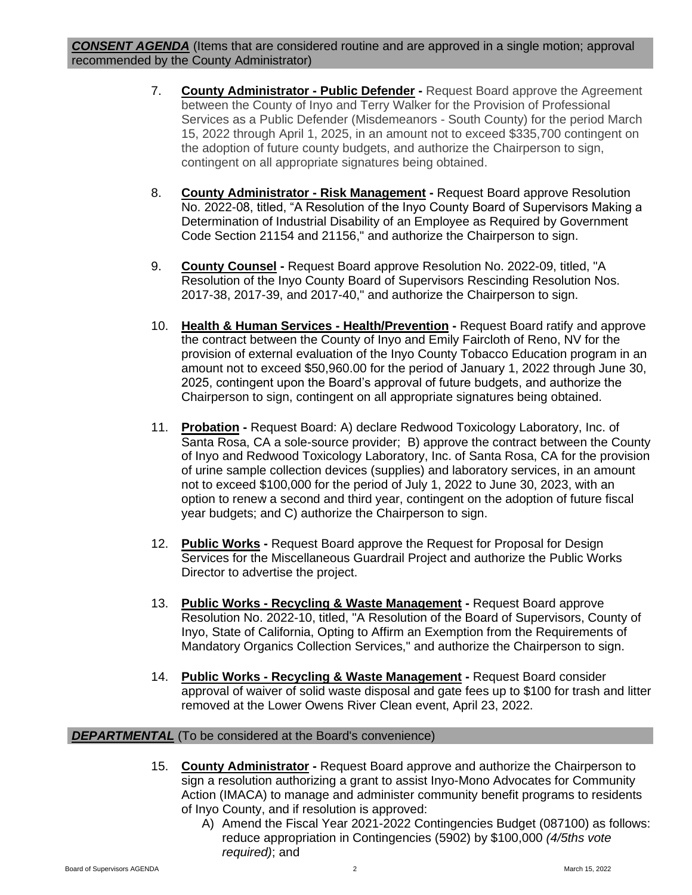- 7. **County Administrator - Public Defender -** Request Board approve the Agreement between the County of Inyo and Terry Walker for the Provision of Professional Services as a Public Defender (Misdemeanors - South County) for the period March 15, 2022 through April 1, 2025, in an amount not to exceed \$335,700 contingent on the adoption of future county budgets, and authorize the Chairperson to sign, contingent on all appropriate signatures being obtained.
- 8. **County Administrator - Risk Management -** Request Board approve Resolution No. 2022-08, titled, "A Resolution of the Inyo County Board of Supervisors Making a Determination of Industrial Disability of an Employee as Required by Government Code Section 21154 and 21156," and authorize the Chairperson to sign.
- 9. **County Counsel -** Request Board approve Resolution No. 2022-09, titled, "A Resolution of the Inyo County Board of Supervisors Rescinding Resolution Nos. 2017-38, 2017-39, and 2017-40," and authorize the Chairperson to sign.
- 10. **Health & Human Services - Health/Prevention -** Request Board ratify and approve the contract between the County of Inyo and Emily Faircloth of Reno, NV for the provision of external evaluation of the Inyo County Tobacco Education program in an amount not to exceed \$50,960.00 for the period of January 1, 2022 through June 30, 2025, contingent upon the Board's approval of future budgets, and authorize the Chairperson to sign, contingent on all appropriate signatures being obtained.
- 11. **Probation -** Request Board: A) declare Redwood Toxicology Laboratory, Inc. of Santa Rosa, CA a sole-source provider; B) approve the contract between the County of Inyo and Redwood Toxicology Laboratory, Inc. of Santa Rosa, CA for the provision of urine sample collection devices (supplies) and laboratory services, in an amount not to exceed \$100,000 for the period of July 1, 2022 to June 30, 2023, with an option to renew a second and third year, contingent on the adoption of future fiscal year budgets; and C) authorize the Chairperson to sign.
- 12. **Public Works -** Request Board approve the Request for Proposal for Design Services for the Miscellaneous Guardrail Project and authorize the Public Works Director to advertise the project.
- 13. **Public Works - Recycling & Waste Management -** Request Board approve Resolution No. 2022-10, titled, "A Resolution of the Board of Supervisors, County of Inyo, State of California, Opting to Affirm an Exemption from the Requirements of Mandatory Organics Collection Services," and authorize the Chairperson to sign.
- 14. **Public Works - Recycling & Waste Management -** Request Board consider approval of waiver of solid waste disposal and gate fees up to \$100 for trash and litter removed at the Lower Owens River Clean event, April 23, 2022.

### *DEPARTMENTAL* (To be considered at the Board's convenience)

- 15. **County Administrator -** Request Board approve and authorize the Chairperson to sign a resolution authorizing a grant to assist Inyo-Mono Advocates for Community Action (IMACA) to manage and administer community benefit programs to residents of Inyo County, and if resolution is approved:
	- A) Amend the Fiscal Year 2021-2022 Contingencies Budget (087100) as follows: reduce appropriation in Contingencies (5902) by \$100,000 *(4/5ths vote required)*; and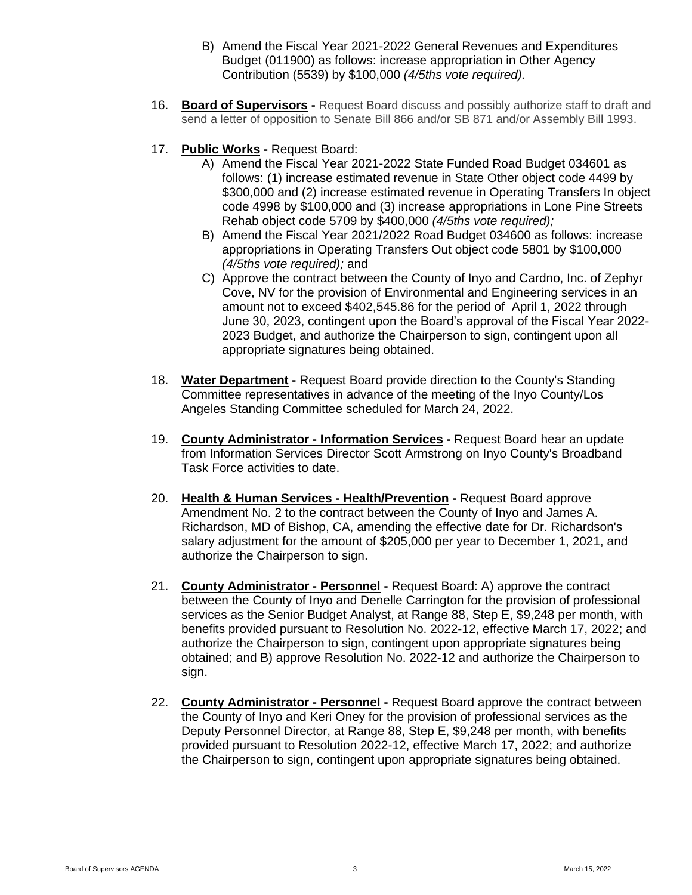- B) Amend the Fiscal Year 2021-2022 General Revenues and Expenditures Budget (011900) as follows: increase appropriation in Other Agency Contribution (5539) by \$100,000 *(4/5ths vote required).*
- 16. **Board of Supervisors -** Request Board discuss and possibly authorize staff to draft and send a letter of opposition to Senate Bill 866 and/or SB 871 and/or Assembly Bill 1993.
- 17. **Public Works -** Request Board:
	- A) Amend the Fiscal Year 2021-2022 State Funded Road Budget 034601 as follows: (1) increase estimated revenue in State Other object code 4499 by \$300,000 and (2) increase estimated revenue in Operating Transfers In object code 4998 by \$100,000 and (3) increase appropriations in Lone Pine Streets Rehab object code 5709 by \$400,000 *(4/5ths vote required);*
	- B) Amend the Fiscal Year 2021/2022 Road Budget 034600 as follows: increase appropriations in Operating Transfers Out object code 5801 by \$100,000 *(4/5ths vote required);* and
	- C) Approve the contract between the County of Inyo and Cardno, Inc. of Zephyr Cove, NV for the provision of Environmental and Engineering services in an amount not to exceed \$402,545.86 for the period of April 1, 2022 through June 30, 2023, contingent upon the Board's approval of the Fiscal Year 2022- 2023 Budget, and authorize the Chairperson to sign, contingent upon all appropriate signatures being obtained.
- 18. **Water Department -** Request Board provide direction to the County's Standing Committee representatives in advance of the meeting of the Inyo County/Los Angeles Standing Committee scheduled for March 24, 2022.
- 19. **County Administrator - Information Services -** Request Board hear an update from Information Services Director Scott Armstrong on Inyo County's Broadband Task Force activities to date.
- 20. **Health & Human Services - Health/Prevention -** Request Board approve Amendment No. 2 to the contract between the County of Inyo and James A. Richardson, MD of Bishop, CA, amending the effective date for Dr. Richardson's salary adjustment for the amount of \$205,000 per year to December 1, 2021, and authorize the Chairperson to sign.
- 21. **County Administrator - Personnel -** Request Board: A) approve the contract between the County of Inyo and Denelle Carrington for the provision of professional services as the Senior Budget Analyst, at Range 88, Step E, \$9,248 per month, with benefits provided pursuant to Resolution No. 2022-12, effective March 17, 2022; and authorize the Chairperson to sign, contingent upon appropriate signatures being obtained; and B) approve Resolution No. 2022-12 and authorize the Chairperson to sign.
- 22. **County Administrator - Personnel -** Request Board approve the contract between the County of Inyo and Keri Oney for the provision of professional services as the Deputy Personnel Director, at Range 88, Step E, \$9,248 per month, with benefits provided pursuant to Resolution 2022-12, effective March 17, 2022; and authorize the Chairperson to sign, contingent upon appropriate signatures being obtained.